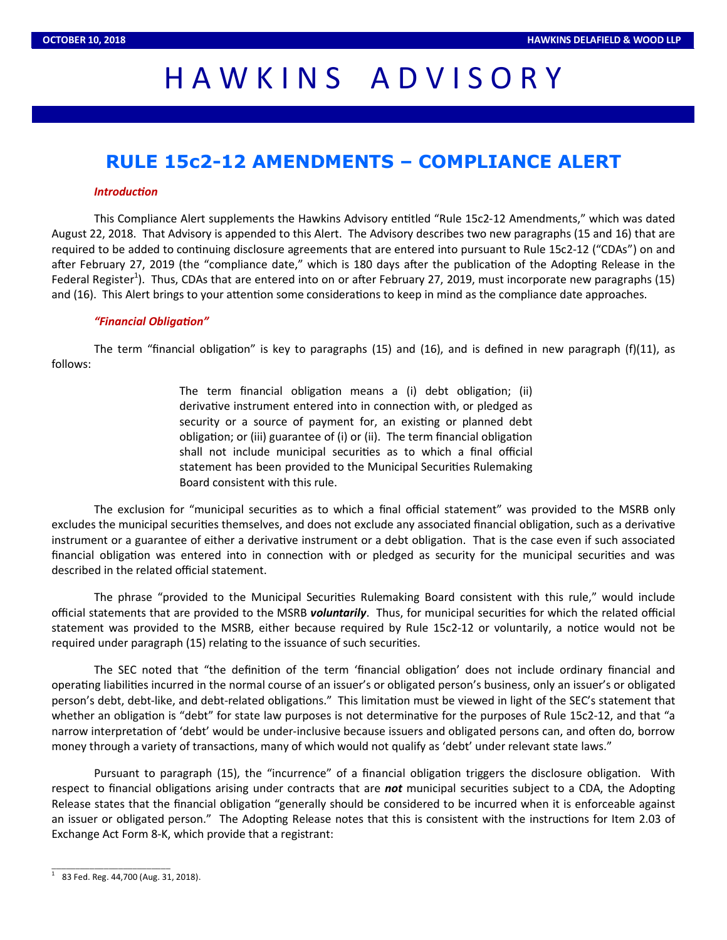## HAWKINS ADVISORY

### **RULE 15c2-12 AMENDMENTS – COMPLIANCE ALERT**

#### *Introduction*

This Compliance Alert supplements the Hawkins Advisory entitled "Rule 15c2-12 Amendments," which was dated August 22, 2018. That Advisory is appended to this Alert. The Advisory describes two new paragraphs (15 and 16) that are required to be added to continuing disclosure agreements that are entered into pursuant to Rule 15c2-12 ("CDAs") on and after February 27, 2019 (the "compliance date," which is 180 days after the publication of the Adopting Release in the Federal Register<sup>1</sup>). Thus, CDAs that are entered into on or after February 27, 2019, must incorporate new paragraphs (15) and (16). This Alert brings to your attention some considerations to keep in mind as the compliance date approaches.

#### "Financial Obligation"

The term "financial obligation" is key to paragraphs (15) and (16), and is defined in new paragraph (f)(11), as follows:

> The term financial obligation means a (i) debt obligation; (ii) derivative instrument entered into in connection with, or pledged as security or a source of payment for, an existing or planned debt obligation; or (iii) guarantee of (i) or (ii). The term financial obligation shall not include municipal securities as to which a final official statement has been provided to the Municipal Securities Rulemaking Board consistent with this rule.

The exclusion for "municipal securities as to which a final official statement" was provided to the MSRB only excludes the municipal securities themselves, and does not exclude any associated financial obligation, such as a derivative instrument or a guarantee of either a derivative instrument or a debt obligation. That is the case even if such associated financial obligation was entered into in connection with or pledged as security for the municipal securities and was described in the related official statement.

The phrase "provided to the Municipal Securities Rulemaking Board consistent with this rule," would include official statements that are provided to the MSRB *voluntarily*. Thus, for municipal securities for which the related official statement was provided to the MSRB, either because required by Rule 15c2-12 or voluntarily, a notice would not be required under paragraph (15) relating to the issuance of such securities.

The SEC noted that "the definition of the term 'financial obligation' does not include ordinary financial and operating liabilities incurred in the normal course of an issuer's or obligated person's business, only an issuer's or obligated person's debt, debt-like, and debt-related obligations." This limitation must be viewed in light of the SEC's statement that whether an obligation is "debt" for state law purposes is not determinative for the purposes of Rule 15c2-12, and that "a narrow interpretation of 'debt' would be under-inclusive because issuers and obligated persons can, and often do, borrow money through a variety of transactions, many of which would not qualify as 'debt' under relevant state laws."

Pursuant to paragraph (15), the "incurrence" of a financial obligation triggers the disclosure obligation. With respect to financial obligations arising under contracts that are *not* municipal securities subject to a CDA, the Adopting Release states that the financial obligation "generally should be considered to be incurred when it is enforceable against an issuer or obligated person." The Adopting Release notes that this is consistent with the instructions for Item 2.03 of Exchange Act Form 8-K, which provide that a registrant:

 $\frac{1}{1}$  83 Fed. Reg. 44,700 (Aug. 31, 2018).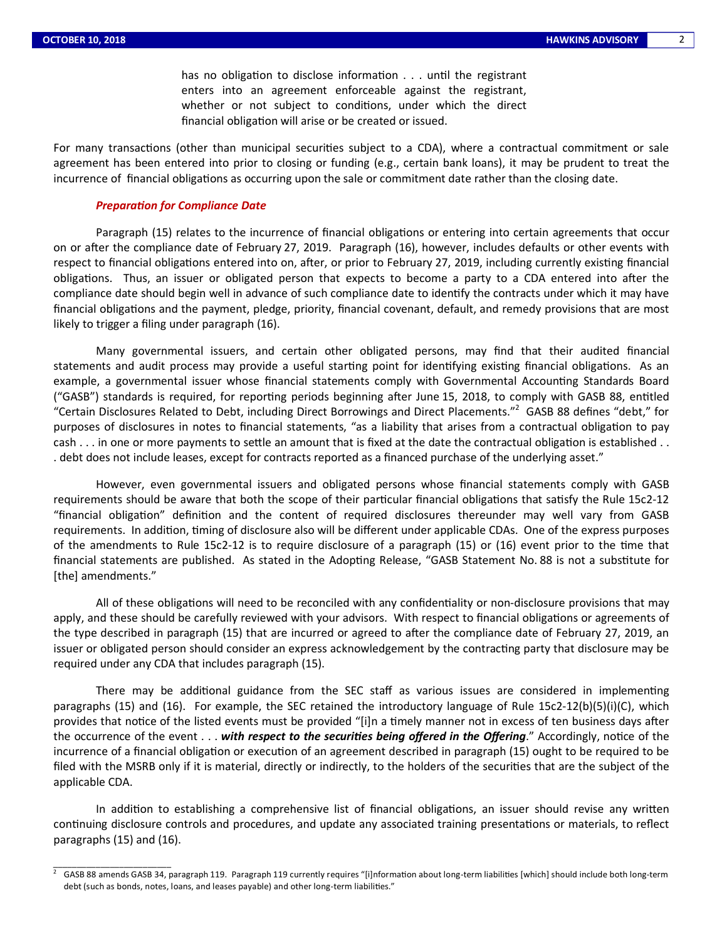\_\_\_\_\_\_\_\_\_\_\_\_\_\_\_\_\_\_\_\_\_\_\_\_\_

2

has no obligation to disclose information  $\dots$  until the registrant enters into an agreement enforceable against the registrant, whether or not subject to conditions, under which the direct financial obligation will arise or be created or issued.

For many transactions (other than municipal securities subject to a CDA), where a contractual commitment or sale agreement has been entered into prior to closing or funding (e.g., certain bank loans), it may be prudent to treat the incurrence of financial obligations as occurring upon the sale or commitment date rather than the closing date.

#### **Preparation for Compliance Date**

Paragraph (15) relates to the incurrence of financial obligations or entering into certain agreements that occur on or after the compliance date of February 27, 2019. Paragraph (16), however, includes defaults or other events with respect to financial obligations entered into on, after, or prior to February 27, 2019, including currently existing financial obligations. Thus, an issuer or obligated person that expects to become a party to a CDA entered into after the compliance date should begin well in advance of such compliance date to identify the contracts under which it may have financial obligations and the payment, pledge, priority, financial covenant, default, and remedy provisions that are most likely to trigger a filing under paragraph (16).

Many governmental issuers, and certain other obligated persons, may find that their audited financial statements and audit process may provide a useful starting point for identifying existing financial obligations. As an example, a governmental issuer whose financial statements comply with Governmental Accounting Standards Board ("GASB") standards is required, for reporting periods beginning after June 15, 2018, to comply with GASB 88, entitled "Certain Disclosures Related to Debt, including Direct Borrowings and Direct Placements."<sup>2</sup> GASB 88 defines "debt," for purposes of disclosures in notes to financial statements, "as a liability that arises from a contractual obligation to pay  $cash \ldots$  in one or more payments to settle an amount that is fixed at the date the contractual obligation is established  $\ldots$ . debt does not include leases, except for contracts reported as a financed purchase of the underlying asset."

However, even governmental issuers and obligated persons whose financial statements comply with GASB requirements should be aware that both the scope of their particular financial obligations that satisfy the Rule 15c2-12 "financial obligation" definition and the content of required disclosures thereunder may well vary from GASB requirements. In addition, timing of disclosure also will be different under applicable CDAs. One of the express purposes of the amendments to Rule 15c2-12 is to require disclosure of a paragraph (15) or (16) event prior to the time that financial statements are published. As stated in the Adopting Release, "GASB Statement No. 88 is not a substitute for [the] amendments."

All of these obligations will need to be reconciled with any confidentiality or non-disclosure provisions that may apply, and these should be carefully reviewed with your advisors. With respect to financial obligations or agreements of the type described in paragraph (15) that are incurred or agreed to after the compliance date of February 27, 2019, an issuer or obligated person should consider an express acknowledgement by the contracting party that disclosure may be required under any CDA that includes paragraph (15).

There may be additional guidance from the SEC staff as various issues are considered in implementing paragraphs (15) and (16). For example, the SEC retained the introductory language of Rule 15c2-12(b)(5)(i)(C), which provides that notice of the listed events must be provided "[i]n a timely manner not in excess of ten business days after the occurrence of the event . . . with respect to the securities being offered in the Offering." Accordingly, notice of the incurrence of a financial obligation or execution of an agreement described in paragraph (15) ought to be required to be filed with the MSRB only if it is material, directly or indirectly, to the holders of the securities that are the subject of the applicable CDA.

In addition to establishing a comprehensive list of financial obligations, an issuer should revise any written continuing disclosure controls and procedures, and update any associated training presentations or materials, to reflect paragraphs (15) and (16).

GASB 88 amends GASB 34, paragraph 119. Paragraph 119 currently requires "[i]nformation about long-term liabilities [which] should include both long-term debt (such as bonds, notes, loans, and leases payable) and other long-term liabilities."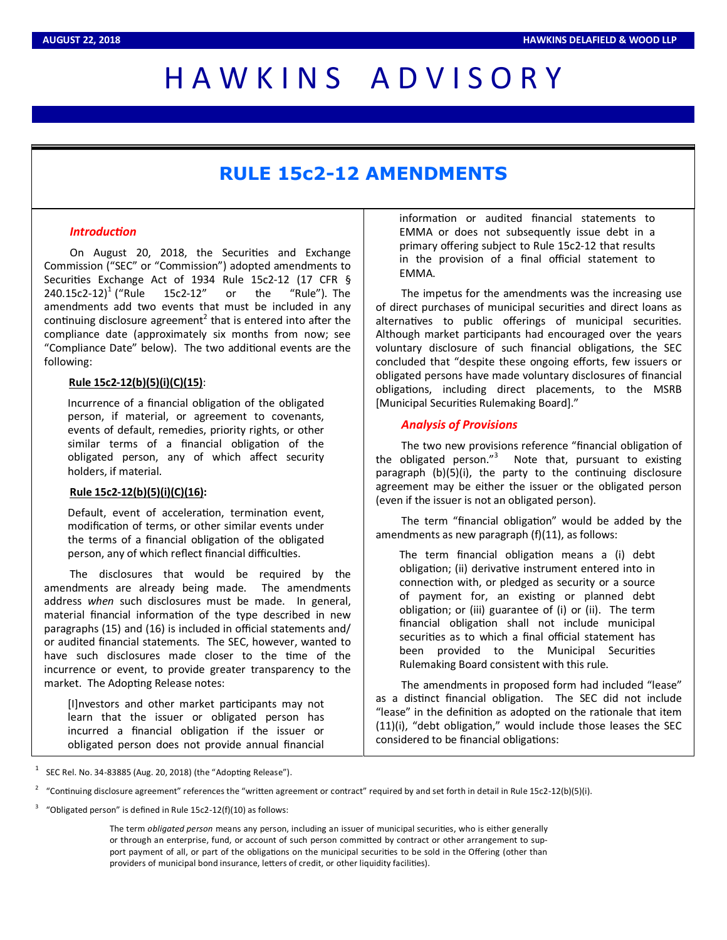# H A W K I N S A D V I S O R Y

## **RULE 15c2-12 AMENDMENTS**

#### *Introduction*

On August 20, 2018, the Securities and Exchange Commission ("SEC" or "Commission") adopted amendments to Securities Exchange Act of 1934 Rule 15c2-12 (17 CFR § 240.15c2-12)<sup>1</sup> ("Rule 15c2-12" or the "Rule"). The amendments add two events that must be included in any continuing disclosure agreement<sup>2</sup> that is entered into after the compliance date (approximately six months from now; see "Compliance Date" below). The two additional events are the following:

#### **Rule 15c2-12(b)(5)(i)(C)(15)**:

Incurrence of a financial obligation of the obligated person, if material, or agreement to covenants, events of default, remedies, priority rights, or other similar terms of a financial obligation of the obligated person, any of which affect security holders, if material.

#### **Rule 15c2-12(b)(5)(i)(C)(16):**

Default, event of acceleration, termination event, modification of terms, or other similar events under the terms of a financial obligation of the obligated person, any of which reflect financial difficulties.

The disclosures that would be required by the amendments are already being made. The amendments address *when* such disclosures must be made. In general, material financial information of the type described in new paragraphs (15) and (16) is included in official statements and/ or audited financial statements. The SEC, however, wanted to have such disclosures made closer to the time of the incurrence or event, to provide greater transparency to the market. The Adopting Release notes:

[I]nvestors and other market participants may not learn that the issuer or obligated person has incurred a financial obligation if the issuer or obligated person does not provide annual financial

information or audited financial statements to EMMA or does not subsequently issue debt in a primary offering subject to Rule 15c2-12 that results in the provision of a final official statement to EMMA.

The impetus for the amendments was the increasing use of direct purchases of municipal securities and direct loans as alternatives to public offerings of municipal securities. Although market participants had encouraged over the years voluntary disclosure of such financial obligations, the SEC concluded that "despite these ongoing efforts, few issuers or obligated persons have made voluntary disclosures of financial obligations, including direct placements, to the MSRB [Municipal Securities Rulemaking Board]."

#### *Analysis of Provisions*

The two new provisions reference "financial obligation of the obligated person." $3$  Note that, pursuant to existing paragraph  $(b)(5)(i)$ , the party to the continuing disclosure agreement may be either the issuer or the obligated person (even if the issuer is not an obligated person).

The term "financial obligation" would be added by the amendments as new paragraph (f)(11), as follows:

The term financial obligation means a (i) debt obligation; (ii) derivative instrument entered into in connection with, or pledged as security or a source of payment for, an existing or planned debt obligation; or (iii) guarantee of (i) or (ii). The term financial obligation shall not include municipal securities as to which a final official statement has been provided to the Municipal Securities Rulemaking Board consistent with this rule.

The amendments in proposed form had included "lease" as a distinct financial obligation. The SEC did not include "lease" in the definition as adopted on the rationale that item  $(11)(i)$ , "debt obligation," would include those leases the SEC considered to be financial obligations:

1 SEC Rel. No. 34-83885 (Aug. 20, 2018) (the "Adopting Release").

The term *obligated person* means any person, including an issuer of municipal securies, who is either generally or through an enterprise, fund, or account of such person committed by contract or other arrangement to support payment of all, or part of the obligations on the municipal securities to be sold in the Offering (other than providers of municipal bond insurance, letters of credit, or other liquidity facilities).

<sup>2</sup> "Continuing disclosure agreement" references the "written agreement or contract" required by and set forth in detail in Rule 15c2-12(b)(5)(i).

<sup>3</sup> "Obligated person" is defined in Rule 15c2-12(f)(10) as follows: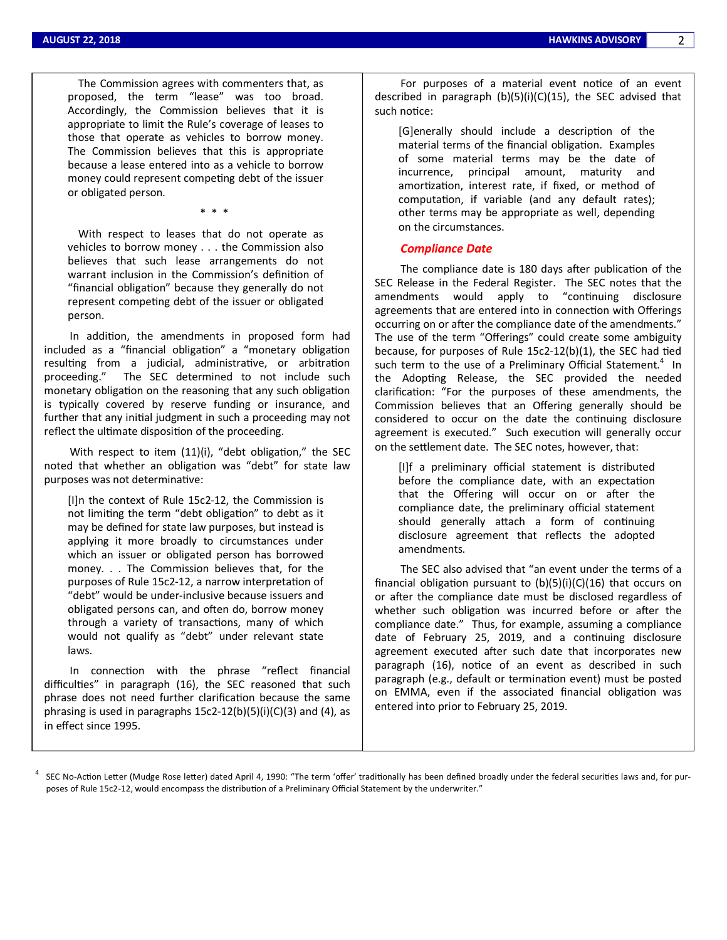The Commission agrees with commenters that, as proposed, the term "lease" was too broad. Accordingly, the Commission believes that it is appropriate to limit the Rule's coverage of leases to those that operate as vehicles to borrow money. The Commission believes that this is appropriate because a lease entered into as a vehicle to borrow money could represent competing debt of the issuer or obligated person.

\* \* \*

 With respect to leases that do not operate as vehicles to borrow money . . . the Commission also believes that such lease arrangements do not warrant inclusion in the Commission's definition of "financial obligation" because they generally do not represent competing debt of the issuer or obligated person.

In addition, the amendments in proposed form had included as a "financial obligation" a "monetary obligation resulting from a judicial, administrative, or arbitration proceeding." The SEC determined to not include such monetary obligation on the reasoning that any such obligation is typically covered by reserve funding or insurance, and further that any initial judgment in such a proceeding may not reflect the ultimate disposition of the proceeding.

With respect to item  $(11)(i)$ , "debt obligation," the SEC noted that whether an obligation was "debt" for state law purposes was not determinative:

[I]n the context of Rule 15c2-12, the Commission is not limiting the term "debt obligation" to debt as it may be defined for state law purposes, but instead is applying it more broadly to circumstances under which an issuer or obligated person has borrowed money. . . The Commission believes that, for the purposes of Rule 15c2-12, a narrow interpretation of "debt" would be under-inclusive because issuers and obligated persons can, and often do, borrow money through a variety of transactions, many of which would not qualify as "debt" under relevant state laws.

In connection with the phrase "reflect financial difficulties" in paragraph (16), the SEC reasoned that such phrase does not need further clarification because the same phrasing is used in paragraphs 15c2-12(b)(5)(i)(C)(3) and (4), as in effect since 1995.

For purposes of a material event notice of an event described in paragraph (b)(5)(i)(C)(15), the SEC advised that such notice:

[G]enerally should include a description of the material terms of the financial obligation. Examples of some material terms may be the date of incurrence, principal amount, maturity and amortization, interest rate, if fixed, or method of computation, if variable (and any default rates); other terms may be appropriate as well, depending on the circumstances.

#### *Compliance Date*

The compliance date is 180 days after publication of the SEC Release in the Federal Register. The SEC notes that the amendments would apply to "continuing disclosure agreements that are entered into in connection with Offerings occurring on or after the compliance date of the amendments." The use of the term "Offerings" could create some ambiguity because, for purposes of Rule  $15c2-12(b)(1)$ , the SEC had tied such term to the use of a Preliminary Official Statement.<sup>4</sup> In the Adopting Release, the SEC provided the needed clarification: "For the purposes of these amendments, the Commission believes that an Offering generally should be considered to occur on the date the continuing disclosure agreement is executed." Such execution will generally occur on the settlement date. The SEC notes, however, that:

[I]f a preliminary official statement is distributed before the compliance date, with an expectation that the Offering will occur on or after the compliance date, the preliminary official statement should generally attach a form of continuing disclosure agreement that reflects the adopted amendments.

The SEC also advised that "an event under the terms of a financial obligation pursuant to  $(b)(5)(i)(C)(16)$  that occurs on or after the compliance date must be disclosed regardless of whether such obligation was incurred before or after the compliance date." Thus, for example, assuming a compliance date of February 25, 2019, and a continuing disclosure agreement executed after such date that incorporates new paragraph (16), notice of an event as described in such paragraph (e.g., default or termination event) must be posted on EMMA, even if the associated financial obligation was entered into prior to February 25, 2019.

 $^4$  SEC No-Action Letter (Mudge Rose letter) dated April 4, 1990: "The term 'offer' traditionally has been defined broadly under the federal securities laws and, for purposes of Rule 15c2-12, would encompass the distribution of a Preliminary Official Statement by the underwriter."